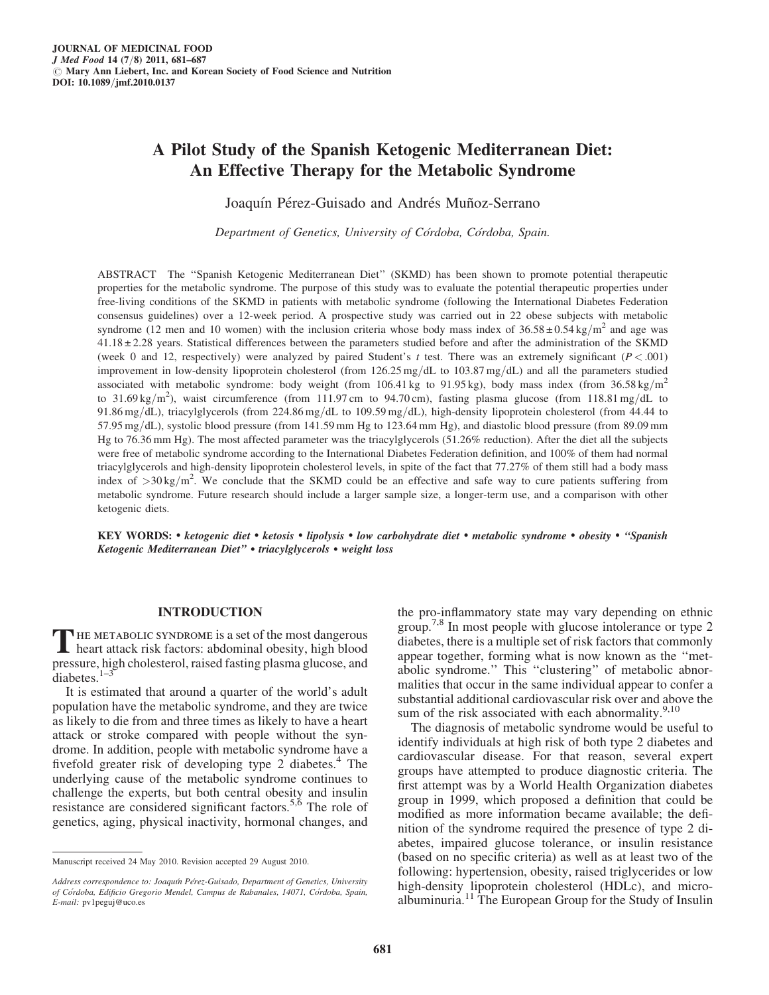# A Pilot Study of the Spanish Ketogenic Mediterranean Diet: An Effective Therapy for the Metabolic Syndrome

Joaquín Pérez-Guisado and Andrés Muñoz-Serrano

Department of Genetics, University of Córdoba, Córdoba, Spain.

ABSTRACT The ''Spanish Ketogenic Mediterranean Diet'' (SKMD) has been shown to promote potential therapeutic properties for the metabolic syndrome. The purpose of this study was to evaluate the potential therapeutic properties under free-living conditions of the SKMD in patients with metabolic syndrome (following the International Diabetes Federation consensus guidelines) over a 12-week period. A prospective study was carried out in 22 obese subjects with metabolic syndrome (12 men and 10 women) with the inclusion criteria whose body mass index of  $36.58 \pm 0.54 \text{ kg/m}^2$  and age was 41.18 ± 2.28 years. Statistical differences between the parameters studied before and after the administration of the SKMD (week 0 and 12, respectively) were analyzed by paired Student's t test. There was an extremely significant  $(P < .001)$ improvement in low-density lipoprotein cholesterol (from  $126.25 \text{ mg/dL}$  to  $103.87 \text{ mg/dL}$ ) and all the parameters studied associated with metabolic syndrome: body weight (from 106.41 kg to 91.95 kg), body mass index (from 36.58 kg/m<sup>2</sup> to 31.69 kg/m<sup>2</sup>), waist circumference (from 111.97 cm to 94.70 cm), fasting plasma glucose (from 118.81 mg/dL to 91.86 mg/dL), triacylglycerols (from 224.86 mg/dL to 109.59 mg/dL), high-density lipoprotein cholesterol (from 44.44 to  $57.95$  mg/dL), systolic blood pressure (from 141.59 mm Hg to 123.64 mm Hg), and diastolic blood pressure (from 89.09 mm Hg to 76.36 mm Hg). The most affected parameter was the triacylglycerols (51.26% reduction). After the diet all the subjects were free of metabolic syndrome according to the International Diabetes Federation definition, and 100% of them had normal triacylglycerols and high-density lipoprotein cholesterol levels, in spite of the fact that 77.27% of them still had a body mass index of  $>30 \text{ kg/m}^2$ . We conclude that the SKMD could be an effective and safe way to cure patients suffering from metabolic syndrome. Future research should include a larger sample size, a longer-term use, and a comparison with other ketogenic diets.

KEY WORDS: • ketogenic diet • ketosis • lipolysis • low carbohydrate diet • metabolic syndrome • obesity • "Spanish Ketogenic Mediterranean Diet" • triacylglycerols • weight loss

#### INTRODUCTION

THE METABOLIC SYNDROME is a set of the most dangerous heart attack risk factors: abdominal obesity, high blood pressure, high cholesterol, raised fasting plasma glucose, and diabetes. $1-3$ 

It is estimated that around a quarter of the world's adult population have the metabolic syndrome, and they are twice as likely to die from and three times as likely to have a heart attack or stroke compared with people without the syndrome. In addition, people with metabolic syndrome have a fivefold greater risk of developing type 2 diabetes.<sup>4</sup> The underlying cause of the metabolic syndrome continues to challenge the experts, but both central obesity and insulin resistance are considered significant factors.<sup>5,6</sup> The role of genetics, aging, physical inactivity, hormonal changes, and the pro-inflammatory state may vary depending on ethnic group.<sup>7,8</sup> In most people with glucose intolerance or type 2 diabetes, there is a multiple set of risk factors that commonly appear together, forming what is now known as the ''metabolic syndrome.'' This ''clustering'' of metabolic abnormalities that occur in the same individual appear to confer a substantial additional cardiovascular risk over and above the sum of the risk associated with each abnormality. $9,10$ 

The diagnosis of metabolic syndrome would be useful to identify individuals at high risk of both type 2 diabetes and cardiovascular disease. For that reason, several expert groups have attempted to produce diagnostic criteria. The first attempt was by a World Health Organization diabetes group in 1999, which proposed a definition that could be modified as more information became available; the definition of the syndrome required the presence of type 2 diabetes, impaired glucose tolerance, or insulin resistance (based on no specific criteria) as well as at least two of the following: hypertension, obesity, raised triglycerides or low high-density lipoprotein cholesterol (HDLc), and microalbuminuria.11 The European Group for the Study of Insulin

Manuscript received 24 May 2010. Revision accepted 29 August 2010.

Address correspondence to: Joaquín Pérez-Guisado, Department of Genetics, University of Córdoba, Edificio Gregorio Mendel, Campus de Rabanales, 14071, Córdoba, Spain, E-mail: pv1peguj@uco.es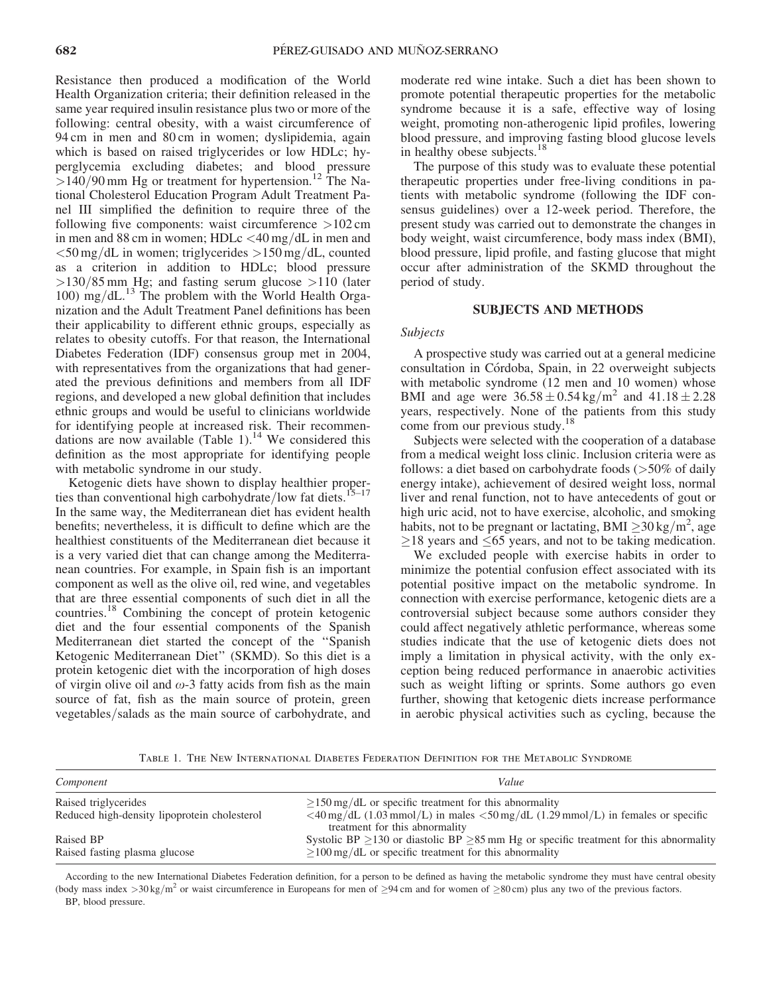Resistance then produced a modification of the World Health Organization criteria; their definition released in the same year required insulin resistance plus two or more of the following: central obesity, with a waist circumference of 94 cm in men and 80 cm in women; dyslipidemia, again which is based on raised triglycerides or low HDLc; hyperglycemia excluding diabetes; and blood pressure  $>140/90$  mm Hg or treatment for hypertension.<sup>12</sup> The National Cholesterol Education Program Adult Treatment Panel III simplified the definition to require three of the following five components: waist circumference  $>102$  cm in men and 88 cm in women; HDLc  $\langle 40 \text{ mg}/dL$  in men and  $<$ 50 mg/dL in women; triglycerides >150 mg/dL, counted as a criterion in addition to HDLc; blood pressure  $>130/85$  mm Hg; and fasting serum glucose  $>110$  (later 100) mg/dL.<sup>13</sup> The problem with the World Health Organization and the Adult Treatment Panel definitions has been their applicability to different ethnic groups, especially as relates to obesity cutoffs. For that reason, the International Diabetes Federation (IDF) consensus group met in 2004, with representatives from the organizations that had generated the previous definitions and members from all IDF regions, and developed a new global definition that includes ethnic groups and would be useful to clinicians worldwide for identifying people at increased risk. Their recommendations are now available (Table 1).<sup>14</sup> We considered this definition as the most appropriate for identifying people with metabolic syndrome in our study.

Ketogenic diets have shown to display healthier properties than conventional high carbohydrate/low fat diets.<sup>15–17</sup> In the same way, the Mediterranean diet has evident health benefits; nevertheless, it is difficult to define which are the healthiest constituents of the Mediterranean diet because it is a very varied diet that can change among the Mediterranean countries. For example, in Spain fish is an important component as well as the olive oil, red wine, and vegetables that are three essential components of such diet in all the countries.18 Combining the concept of protein ketogenic diet and the four essential components of the Spanish Mediterranean diet started the concept of the ''Spanish Ketogenic Mediterranean Diet'' (SKMD). So this diet is a protein ketogenic diet with the incorporation of high doses of virgin olive oil and  $\omega$ -3 fatty acids from fish as the main source of fat, fish as the main source of protein, green vegetables/salads as the main source of carbohydrate, and

moderate red wine intake. Such a diet has been shown to promote potential therapeutic properties for the metabolic syndrome because it is a safe, effective way of losing weight, promoting non-atherogenic lipid profiles, lowering blood pressure, and improving fasting blood glucose levels in healthy obese subjects.<sup>18</sup>

The purpose of this study was to evaluate these potential therapeutic properties under free-living conditions in patients with metabolic syndrome (following the IDF consensus guidelines) over a 12-week period. Therefore, the present study was carried out to demonstrate the changes in body weight, waist circumference, body mass index (BMI), blood pressure, lipid profile, and fasting glucose that might occur after administration of the SKMD throughout the period of study.

## SUBJECTS AND METHODS

### Subjects

A prospective study was carried out at a general medicine consultation in Córdoba, Spain, in 22 overweight subjects with metabolic syndrome (12 men and 10 women) whose BMI and age were  $36.58 \pm 0.54$  kg/m<sup>2</sup> and  $41.18 \pm 2.28$ years, respectively. None of the patients from this study come from our previous study.<sup>18</sup>

Subjects were selected with the cooperation of a database from a medical weight loss clinic. Inclusion criteria were as follows: a diet based on carbohydrate foods (>50% of daily energy intake), achievement of desired weight loss, normal liver and renal function, not to have antecedents of gout or high uric acid, not to have exercise, alcoholic, and smoking habits, not to be pregnant or lactating, BMI  $\geq 30 \text{ kg/m}^2$ , age  $\geq$ 18 years and  $\leq$ 65 years, and not to be taking medication.

We excluded people with exercise habits in order to minimize the potential confusion effect associated with its potential positive impact on the metabolic syndrome. In connection with exercise performance, ketogenic diets are a controversial subject because some authors consider they could affect negatively athletic performance, whereas some studies indicate that the use of ketogenic diets does not imply a limitation in physical activity, with the only exception being reduced performance in anaerobic activities such as weight lifting or sprints. Some authors go even further, showing that ketogenic diets increase performance in aerobic physical activities such as cycling, because the

Table 1. The New International Diabetes Federation Definition for the Metabolic Syndrome

| Component                                    | Value                                                                                                                                                               |  |
|----------------------------------------------|---------------------------------------------------------------------------------------------------------------------------------------------------------------------|--|
| Raised triglycerides                         | $>150 \,\mathrm{mg/dL}$ or specific treatment for this abnormality                                                                                                  |  |
| Reduced high-density lipoprotein cholesterol | $\langle 40 \text{ mg/dL} (1.03 \text{ mmol/L})$ in males $\langle 50 \text{ mg/dL} (1.29 \text{ mmol/L})$ in females or specific<br>treatment for this abnormality |  |
| Raised BP                                    | Systolic BP $\geq$ 130 or diastolic BP $\geq$ 85 mm Hg or specific treatment for this abnormality                                                                   |  |
| Raised fasting plasma glucose                | $>100 \,\mathrm{mg}/dL$ or specific treatment for this abnormality                                                                                                  |  |

According to the new International Diabetes Federation definition, for a person to be defined as having the metabolic syndrome they must have central obesity (body mass index  $>30 \text{ kg/m}^2$  or waist circumference in Europeans for men of  $>94 \text{ cm}$  and for women of  $>80 \text{ cm}$ ) plus any two of the previous factors. BP, blood pressure.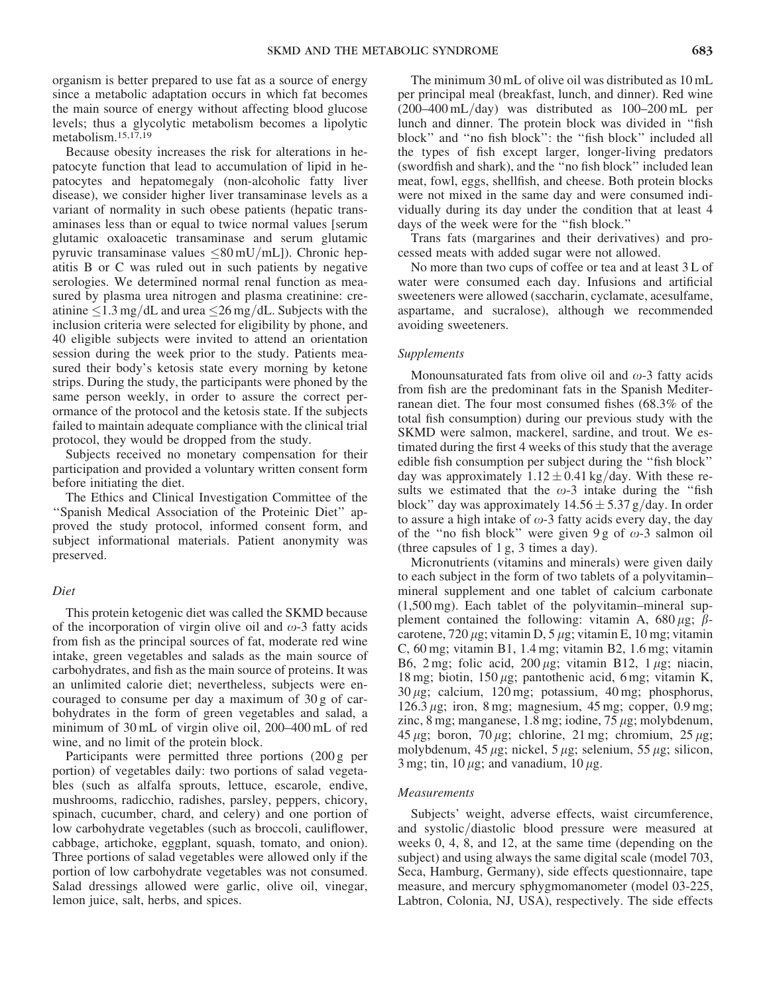organism is better prepared to use fat as a source of energy since a metabolic adaptation occurs in which fat becomes the main source of energy without affecting blood glucose levels; thus a glycolytic metabolism becomes a lipolytic metabolism.15,17,19

Because obesity increases the risk for alterations in hepatocyte function that lead to accumulation of lipid in hepatocytes and hepatomegaly (non-alcoholic fatty liver disease), we consider higher liver transaminase levels as a variant of normality in such obese patients (hepatic transaminases less than or equal to twice normal values [serum glutamic oxaloacetic transaminase and serum glutamic pyruvic transaminase values  $\leq 80$  mU/mL]). Chronic hepatitis B or C was ruled out in such patients by negative serologies. We determined normal renal function as measured by plasma urea nitrogen and plasma creatinine: creatinine  $\leq 1.3$  mg/dL and urea  $\leq 26$  mg/dL. Subjects with the inclusion criteria were selected for eligibility by phone, and 40 eligible subjects were invited to attend an orientation session during the week prior to the study. Patients measured their body's ketosis state every morning by ketone strips. During the study, the participants were phoned by the same person weekly, in order to assure the correct perormance of the protocol and the ketosis state. If the subjects failed to maintain adequate compliance with the clinical trial protocol, they would be dropped from the study.

Subjects received no monetary compensation for their participation and provided a voluntary written consent form before initiating the diet.

The Ethics and Clinical Investigation Committee of the ''Spanish Medical Association of the Proteinic Diet'' approved the study protocol, informed consent form, and subject informational materials. Patient anonymity was preserved.

#### Diet

This protein ketogenic diet was called the SKMD because of the incorporation of virgin olive oil and  $\omega$ -3 fatty acids from fish as the principal sources of fat, moderate red wine intake, green vegetables and salads as the main source of carbohydrates, and fish as the main source of proteins. It was an unlimited calorie diet; nevertheless, subjects were encouraged to consume per day a maximum of 30 g of carbohydrates in the form of green vegetables and salad, a minimum of 30 mL of virgin olive oil, 200–400 mL of red wine, and no limit of the protein block.

Participants were permitted three portions (200 g per portion) of vegetables daily: two portions of salad vegetables (such as alfalfa sprouts, lettuce, escarole, endive, mushrooms, radicchio, radishes, parsley, peppers, chicory, spinach, cucumber, chard, and celery) and one portion of low carbohydrate vegetables (such as broccoli, cauliflower, cabbage, artichoke, eggplant, squash, tomato, and onion). Three portions of salad vegetables were allowed only if the portion of low carbohydrate vegetables was not consumed. Salad dressings allowed were garlic, olive oil, vinegar, lemon juice, salt, herbs, and spices.

The minimum 30 mL of olive oil was distributed as 10 mL per principal meal (breakfast, lunch, and dinner). Red wine  $(200-400 \text{ mL/day})$  was distributed as  $100-200 \text{ mL per}$ lunch and dinner. The protein block was divided in ''fish block'' and ''no fish block'': the ''fish block'' included all the types of fish except larger, longer-living predators (swordfish and shark), and the ''no fish block'' included lean meat, fowl, eggs, shellfish, and cheese. Both protein blocks were not mixed in the same day and were consumed individually during its day under the condition that at least 4 days of the week were for the ''fish block.''

Trans fats (margarines and their derivatives) and processed meats with added sugar were not allowed.

No more than two cups of coffee or tea and at least 3 L of water were consumed each day. Infusions and artificial sweeteners were allowed (saccharin, cyclamate, acesulfame, aspartame, and sucralose), although we recommended avoiding sweeteners.

#### Supplements

Monounsaturated fats from olive oil and  $\omega$ -3 fatty acids from fish are the predominant fats in the Spanish Mediterranean diet. The four most consumed fishes (68.3% of the total fish consumption) during our previous study with the SKMD were salmon, mackerel, sardine, and trout. We estimated during the first 4 weeks of this study that the average edible fish consumption per subject during the ''fish block'' day was approximately  $1.12 \pm 0.41$  kg/day. With these results we estimated that the  $\omega$ -3 intake during the "fish" block" day was approximately  $14.56 \pm 5.37$  g/day. In order to assure a high intake of  $\omega$ -3 fatty acids every day, the day of the "no fish block" were given 9 g of  $\omega$ -3 salmon oil (three capsules of 1 g, 3 times a day).

Micronutrients (vitamins and minerals) were given daily to each subject in the form of two tablets of a polyvitamin– mineral supplement and one tablet of calcium carbonate (1,500 mg). Each tablet of the polyvitamin–mineral supplement contained the following: vitamin A,  $680 \mu$ g;  $\beta$ carotene, 720  $\mu$ g; vitamin D, 5  $\mu$ g; vitamin E, 10 mg; vitamin C, 60 mg; vitamin B1, 1.4 mg; vitamin B2, 1.6 mg; vitamin B6, 2 mg; folic acid,  $200 \mu$ g; vitamin B12, 1  $\mu$ g; niacin, 18 mg; biotin,  $150 \mu$ g; pantothenic acid, 6 mg; vitamin K,  $30 \mu$ g; calcium, 120 mg; potassium, 40 mg; phosphorus,  $126.3 \mu$ g; iron, 8 mg; magnesium, 45 mg; copper, 0.9 mg; zinc, 8 mg; manganese,  $1.8$  mg; iodine,  $75 \mu$ g; molybdenum,  $45 \mu$ g; boron, 70  $\mu$ g; chlorine, 21 mg; chromium, 25  $\mu$ g; molybdenum, 45  $\mu$ g; nickel, 5  $\mu$ g; selenium, 55  $\mu$ g; silicon, 3 mg; tin, 10  $\mu$ g; and vanadium, 10  $\mu$ g.

#### Measurements

Subjects' weight, adverse effects, waist circumference, and systolic/diastolic blood pressure were measured at weeks 0, 4, 8, and 12, at the same time (depending on the subject) and using always the same digital scale (model 703, Seca, Hamburg, Germany), side effects questionnaire, tape measure, and mercury sphygmomanometer (model 03-225, Labtron, Colonia, NJ, USA), respectively. The side effects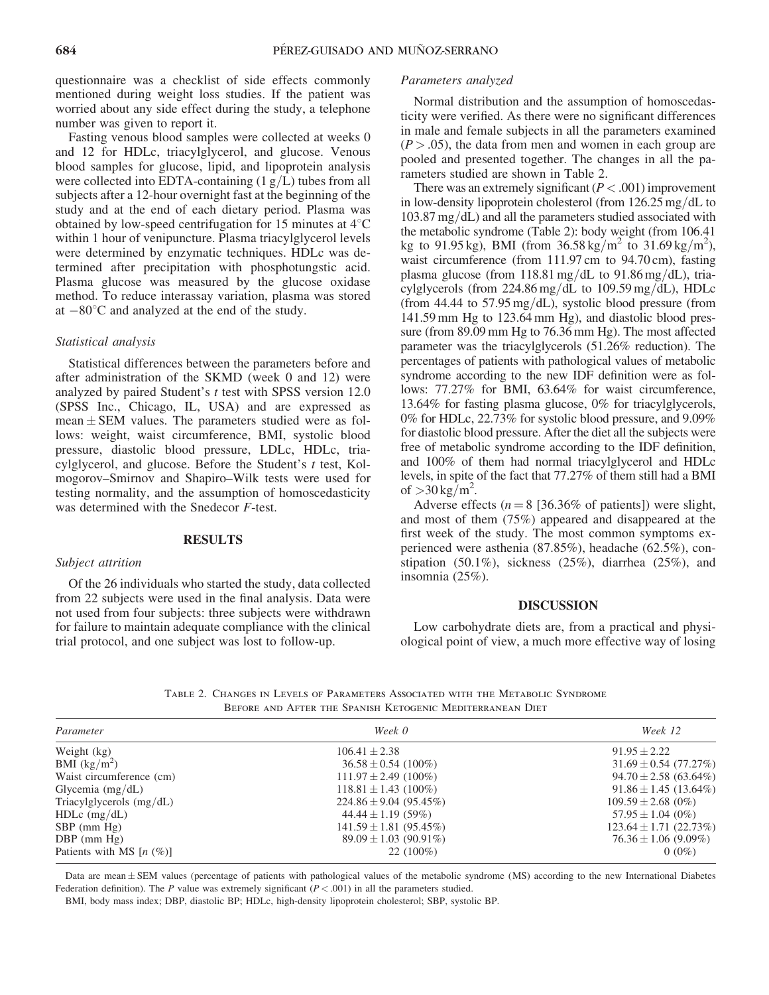questionnaire was a checklist of side effects commonly mentioned during weight loss studies. If the patient was worried about any side effect during the study, a telephone number was given to report it.

Fasting venous blood samples were collected at weeks 0 and 12 for HDLc, triacylglycerol, and glucose. Venous blood samples for glucose, lipid, and lipoprotein analysis were collected into EDTA-containing  $(1 g/L)$  tubes from all subjects after a 12-hour overnight fast at the beginning of the study and at the end of each dietary period. Plasma was obtained by low-speed centrifugation for 15 minutes at  $4^{\circ}$ C within 1 hour of venipuncture. Plasma triacylglycerol levels were determined by enzymatic techniques. HDLc was determined after precipitation with phosphotungstic acid. Plasma glucose was measured by the glucose oxidase method. To reduce interassay variation, plasma was stored at  $-80^{\circ}$ C and analyzed at the end of the study.

#### Statistical analysis

Statistical differences between the parameters before and after administration of the SKMD (week 0 and 12) were analyzed by paired Student's t test with SPSS version 12.0 (SPSS Inc., Chicago, IL, USA) and are expressed as mean  $\pm$  SEM values. The parameters studied were as follows: weight, waist circumference, BMI, systolic blood pressure, diastolic blood pressure, LDLc, HDLc, triacylglycerol, and glucose. Before the Student's t test, Kolmogorov–Smirnov and Shapiro–Wilk tests were used for testing normality, and the assumption of homoscedasticity was determined with the Snedecor F-test.

## **RESULTS**

### Subject attrition

Of the 26 individuals who started the study, data collected from 22 subjects were used in the final analysis. Data were not used from four subjects: three subjects were withdrawn for failure to maintain adequate compliance with the clinical trial protocol, and one subject was lost to follow-up.

#### Parameters analyzed

Normal distribution and the assumption of homoscedasticity were verified. As there were no significant differences in male and female subjects in all the parameters examined  $(P > .05)$ , the data from men and women in each group are pooled and presented together. The changes in all the parameters studied are shown in Table 2.

There was an extremely significant  $(P < .001)$  improvement in low-density lipoprotein cholesterol (from  $126.25 \text{ mg}/dL$  to  $103.87 \text{ mg}/dL$ ) and all the parameters studied associated with the metabolic syndrome (Table 2): body weight (from 106.41 kg to 91.95 kg), BMI (from  $36.58 \text{ kg/m}^2$  to  $31.69 \text{ kg/m}^2$ ), waist circumference (from 111.97 cm to 94.70 cm), fasting plasma glucose (from 118.81 mg/dL to 91.86 mg/dL), triacylglycerols (from  $224.86$  mg/dL to  $109.59$  mg/dL), HDLc (from  $44.44$  to  $57.95$  mg/dL), systolic blood pressure (from 141.59 mm Hg to 123.64 mm Hg), and diastolic blood pressure (from 89.09 mm Hg to 76.36 mm Hg). The most affected parameter was the triacylglycerols (51.26% reduction). The percentages of patients with pathological values of metabolic syndrome according to the new IDF definition were as follows: 77.27% for BMI, 63.64% for waist circumference, 13.64% for fasting plasma glucose, 0% for triacylglycerols, 0% for HDLc, 22.73% for systolic blood pressure, and 9.09% for diastolic blood pressure. After the diet all the subjects were free of metabolic syndrome according to the IDF definition, and 100% of them had normal triacylglycerol and HDLc levels, in spite of the fact that 77.27% of them still had a BMI of  $>$  30 kg/m<sup>2</sup>.

Adverse effects ( $n = 8$  [36.36% of patients]) were slight, and most of them (75%) appeared and disappeared at the first week of the study. The most common symptoms experienced were asthenia (87.85%), headache (62.5%), constipation (50.1%), sickness (25%), diarrhea (25%), and insomnia (25%).

#### DISCUSSION

Low carbohydrate diets are, from a practical and physiological point of view, a much more effective way of losing

Table 2. Changes in Levels of Parameters Associated with the Metabolic Syndrome Before and After the Spanish Ketogenic Mediterranean Diet

| Parameter                     | Week 0                     | Week 12                    |
|-------------------------------|----------------------------|----------------------------|
| Weight (kg)                   | $106.41 \pm 2.38$          | $91.95 \pm 2.22$           |
| BMI $(kg/m^2)$                | $36.58 \pm 0.54$ (100%)    | $31.69 \pm 0.54$ (77.27%)  |
| Waist circumference (cm)      | $111.97 \pm 2.49$ (100%)   | $94.70 \pm 2.58$ (63.64%)  |
| Glycemia $(mg/dL)$            | $118.81 \pm 1.43$ (100%)   | $91.86 \pm 1.45$ (13.64%)  |
| Triacylglycerols $(mg/dL)$    | $224.86 \pm 9.04$ (95.45%) | $109.59 \pm 2.68$ (0%)     |
| $HDLc$ (mg/dL)                | $44.44 \pm 1.19$ (59%)     | $57.95 \pm 1.04$ (0%)      |
| $SBP$ (mm $Hg$ )              | $141.59 \pm 1.81$ (95.45%) | $123.64 \pm 1.71$ (22.73%) |
| $DBP$ (mm $Hg$ )              | $89.09 \pm 1.03$ (90.91%)  | $76.36 \pm 1.06$ (9.09%)   |
| Patients with MS $[n \ (\%)]$ | $22(100\%)$                | $0(0\%)$                   |

Data are mean  $\pm$  SEM values (percentage of patients with pathological values of the metabolic syndrome (MS) according to the new International Diabetes Federation definition). The P value was extremely significant  $(P < .001)$  in all the parameters studied.

BMI, body mass index; DBP, diastolic BP; HDLc, high-density lipoprotein cholesterol; SBP, systolic BP.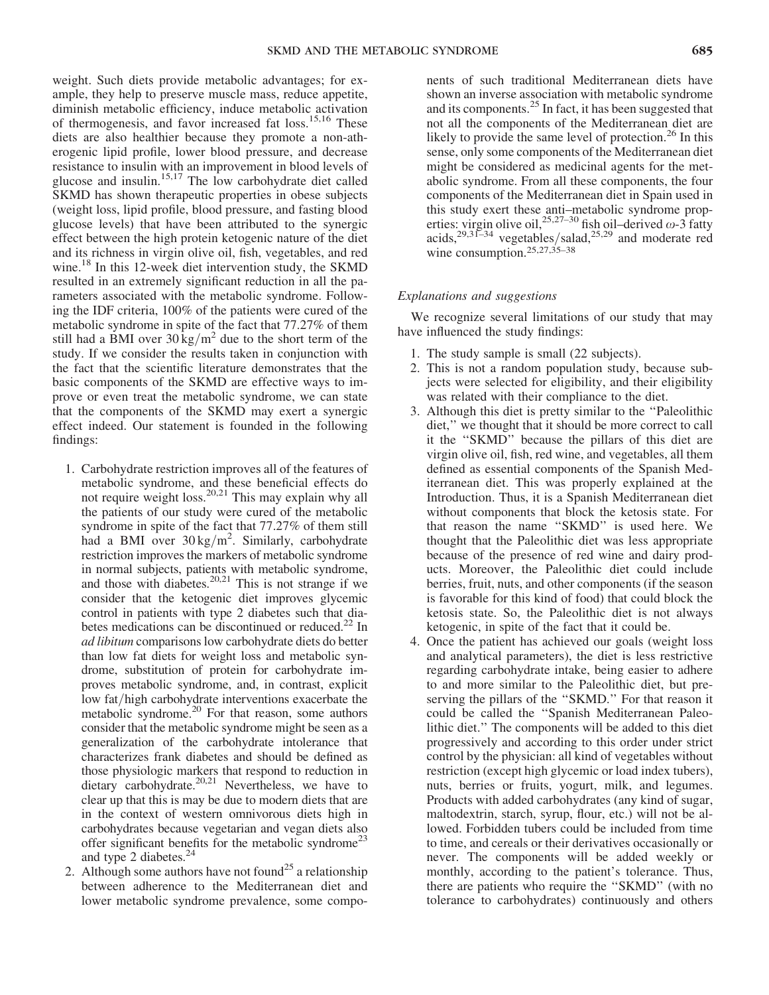weight. Such diets provide metabolic advantages; for example, they help to preserve muscle mass, reduce appetite, diminish metabolic efficiency, induce metabolic activation of thermogenesis, and favor increased fat loss.<sup>15,16</sup> These diets are also healthier because they promote a non-atherogenic lipid profile, lower blood pressure, and decrease resistance to insulin with an improvement in blood levels of glucose and insulin.<sup>15,17</sup> The low carbohydrate diet called SKMD has shown therapeutic properties in obese subjects (weight loss, lipid profile, blood pressure, and fasting blood glucose levels) that have been attributed to the synergic effect between the high protein ketogenic nature of the diet and its richness in virgin olive oil, fish, vegetables, and red wine.<sup>18</sup> In this 12-week diet intervention study, the SKMD resulted in an extremely significant reduction in all the parameters associated with the metabolic syndrome. Following the IDF criteria, 100% of the patients were cured of the metabolic syndrome in spite of the fact that 77.27% of them still had a BMI over  $30 \text{ kg/m}^2$  due to the short term of the study. If we consider the results taken in conjunction with the fact that the scientific literature demonstrates that the basic components of the SKMD are effective ways to improve or even treat the metabolic syndrome, we can state that the components of the SKMD may exert a synergic effect indeed. Our statement is founded in the following findings:

- 1. Carbohydrate restriction improves all of the features of metabolic syndrome, and these beneficial effects do not require weight loss. $20,21$  This may explain why all the patients of our study were cured of the metabolic syndrome in spite of the fact that 77.27% of them still had a BMI over  $30 \text{ kg/m}^2$ . Similarly, carbohydrate restriction improves the markers of metabolic syndrome in normal subjects, patients with metabolic syndrome, and those with diabetes.<sup>20,21</sup> This is not strange if we consider that the ketogenic diet improves glycemic control in patients with type 2 diabetes such that diabetes medications can be discontinued or reduced.<sup>22</sup> In ad libitum comparisons low carbohydrate diets do better than low fat diets for weight loss and metabolic syndrome, substitution of protein for carbohydrate improves metabolic syndrome, and, in contrast, explicit low fat/high carbohydrate interventions exacerbate the metabolic syndrome.<sup>20</sup> For that reason, some authors consider that the metabolic syndrome might be seen as a generalization of the carbohydrate intolerance that characterizes frank diabetes and should be defined as those physiologic markers that respond to reduction in dietary carbohydrate.<sup>20,21</sup> Nevertheless, we have to clear up that this is may be due to modern diets that are in the context of western omnivorous diets high in carbohydrates because vegetarian and vegan diets also offer significant benefits for the metabolic syndrome<sup>23</sup> and type 2 diabetes.<sup>24</sup>
- 2. Although some authors have not found<sup>25</sup> a relationship between adherence to the Mediterranean diet and lower metabolic syndrome prevalence, some compo-

nents of such traditional Mediterranean diets have shown an inverse association with metabolic syndrome and its components.25 In fact, it has been suggested that not all the components of the Mediterranean diet are likely to provide the same level of protection. $^{26}$  In this sense, only some components of the Mediterranean diet might be considered as medicinal agents for the metabolic syndrome. From all these components, the four components of the Mediterranean diet in Spain used in this study exert these anti–metabolic syndrome properties: virgin olive oil,<sup>25,27–30</sup> fish oil–derived  $\omega$ -3 fatty acids,<sup>29,31–34</sup> vegetables/salad,<sup>25,29</sup> and moderate red wine consumption.<sup>25,27,35–38</sup>

## Explanations and suggestions

We recognize several limitations of our study that may have influenced the study findings:

- 1. The study sample is small (22 subjects).
- 2. This is not a random population study, because subjects were selected for eligibility, and their eligibility was related with their compliance to the diet.
- 3. Although this diet is pretty similar to the ''Paleolithic diet,'' we thought that it should be more correct to call it the ''SKMD'' because the pillars of this diet are virgin olive oil, fish, red wine, and vegetables, all them defined as essential components of the Spanish Mediterranean diet. This was properly explained at the Introduction. Thus, it is a Spanish Mediterranean diet without components that block the ketosis state. For that reason the name ''SKMD'' is used here. We thought that the Paleolithic diet was less appropriate because of the presence of red wine and dairy products. Moreover, the Paleolithic diet could include berries, fruit, nuts, and other components (if the season is favorable for this kind of food) that could block the ketosis state. So, the Paleolithic diet is not always ketogenic, in spite of the fact that it could be.
- 4. Once the patient has achieved our goals (weight loss and analytical parameters), the diet is less restrictive regarding carbohydrate intake, being easier to adhere to and more similar to the Paleolithic diet, but preserving the pillars of the ''SKMD.'' For that reason it could be called the ''Spanish Mediterranean Paleolithic diet.'' The components will be added to this diet progressively and according to this order under strict control by the physician: all kind of vegetables without restriction (except high glycemic or load index tubers), nuts, berries or fruits, yogurt, milk, and legumes. Products with added carbohydrates (any kind of sugar, maltodextrin, starch, syrup, flour, etc.) will not be allowed. Forbidden tubers could be included from time to time, and cereals or their derivatives occasionally or never. The components will be added weekly or monthly, according to the patient's tolerance. Thus, there are patients who require the ''SKMD'' (with no tolerance to carbohydrates) continuously and others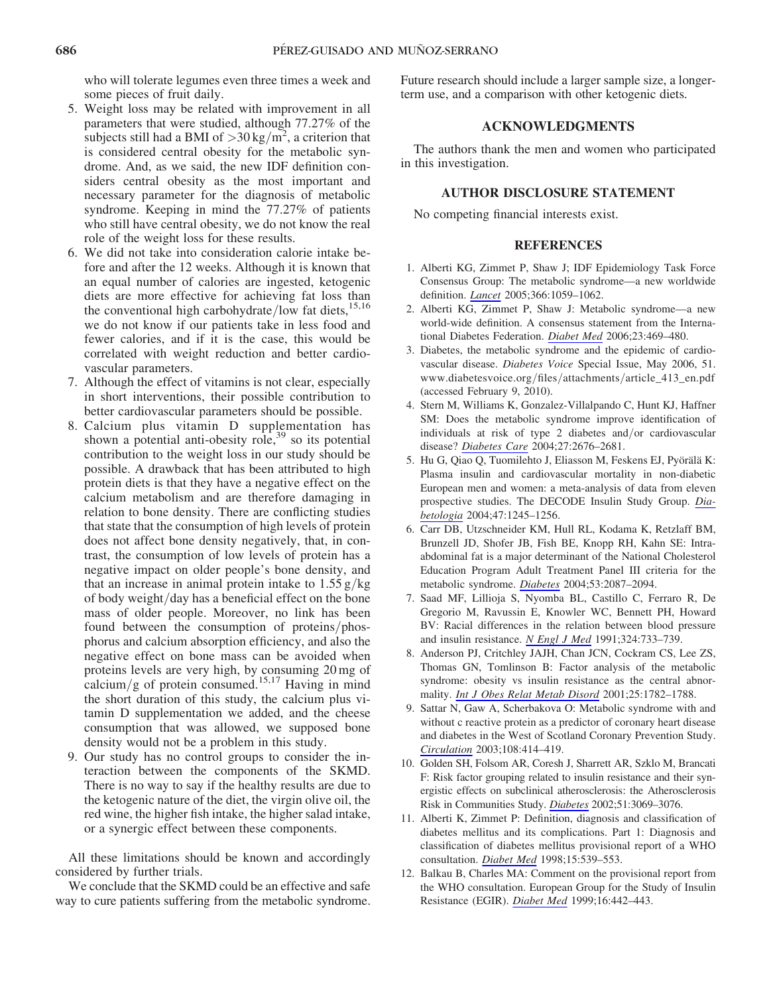who will tolerate legumes even three times a week and some pieces of fruit daily.

- 5. Weight loss may be related with improvement in all parameters that were studied, although 77.27% of the subjects still had a BMI of  $>30 \text{ kg/m}^2$ , a criterion that is considered central obesity for the metabolic syndrome. And, as we said, the new IDF definition considers central obesity as the most important and necessary parameter for the diagnosis of metabolic syndrome. Keeping in mind the 77.27% of patients who still have central obesity, we do not know the real role of the weight loss for these results.
- 6. We did not take into consideration calorie intake before and after the 12 weeks. Although it is known that an equal number of calories are ingested, ketogenic diets are more effective for achieving fat loss than the conventional high carbohydrate/low fat diets, $15,16$ we do not know if our patients take in less food and fewer calories, and if it is the case, this would be correlated with weight reduction and better cardiovascular parameters.
- 7. Although the effect of vitamins is not clear, especially in short interventions, their possible contribution to better cardiovascular parameters should be possible.
- 8. Calcium plus vitamin D supplementation has shown a potential anti-obesity role, $39$  so its potential contribution to the weight loss in our study should be possible. A drawback that has been attributed to high protein diets is that they have a negative effect on the calcium metabolism and are therefore damaging in relation to bone density. There are conflicting studies that state that the consumption of high levels of protein does not affect bone density negatively, that, in contrast, the consumption of low levels of protein has a negative impact on older people's bone density, and that an increase in animal protein intake to  $1.55 \frac{g}{kg}$ of body weight/day has a beneficial effect on the bone mass of older people. Moreover, no link has been found between the consumption of proteins/phosphorus and calcium absorption efficiency, and also the negative effect on bone mass can be avoided when proteins levels are very high, by consuming 20 mg of calcium/g of protein consumed.<sup>15,17</sup> Having in mind the short duration of this study, the calcium plus vitamin D supplementation we added, and the cheese consumption that was allowed, we supposed bone density would not be a problem in this study.
- 9. Our study has no control groups to consider the interaction between the components of the SKMD. There is no way to say if the healthy results are due to the ketogenic nature of the diet, the virgin olive oil, the red wine, the higher fish intake, the higher salad intake, or a synergic effect between these components.

All these limitations should be known and accordingly considered by further trials.

We conclude that the SKMD could be an effective and safe way to cure patients suffering from the metabolic syndrome. Future research should include a larger sample size, a longerterm use, and a comparison with other ketogenic diets.

## ACKNOWLEDGMENTS

The authors thank the men and women who participated in this investigation.

## AUTHOR DISCLOSURE STATEMENT

No competing financial interests exist.

### **REFERENCES**

- 1. Alberti KG, Zimmet P, Shaw J; IDF Epidemiology Task Force Consensus Group: The metabolic syndrome—a new worldwide definition. Lancet 2005;366:1059–1062.
- 2. Alberti KG, Zimmet P, Shaw J: Metabolic syndrome—a new world-wide definition. A consensus statement from the International Diabetes Federation. Diabet Med 2006;23:469–480.
- 3. Diabetes, the metabolic syndrome and the epidemic of cardiovascular disease. Diabetes Voice Special Issue, May 2006, 51. www.diabetesvoice.org/files/attachments/article\_413\_en.pdf (accessed February 9, 2010).
- 4. Stern M, Williams K, Gonzalez-Villalpando C, Hunt KJ, Haffner SM: Does the metabolic syndrome improve identification of individuals at risk of type 2 diabetes and/or cardiovascular disease? Diabetes Care 2004;27:2676–2681.
- 5. Hu G, Qiao Q, Tuomilehto J, Eliasson M, Feskens EJ, Pyörälä K: Plasma insulin and cardiovascular mortality in non-diabetic European men and women: a meta-analysis of data from eleven prospective studies. The DECODE Insulin Study Group. Diabetologia 2004;47:1245–1256.
- 6. Carr DB, Utzschneider KM, Hull RL, Kodama K, Retzlaff BM, Brunzell JD, Shofer JB, Fish BE, Knopp RH, Kahn SE: Intraabdominal fat is a major determinant of the National Cholesterol Education Program Adult Treatment Panel III criteria for the metabolic syndrome. Diabetes 2004;53:2087–2094.
- 7. Saad MF, Lillioja S, Nyomba BL, Castillo C, Ferraro R, De Gregorio M, Ravussin E, Knowler WC, Bennett PH, Howard BV: Racial differences in the relation between blood pressure and insulin resistance. N Engl J Med 1991;324:733–739.
- 8. Anderson PJ, Critchley JAJH, Chan JCN, Cockram CS, Lee ZS, Thomas GN, Tomlinson B: Factor analysis of the metabolic syndrome: obesity vs insulin resistance as the central abnormality. Int J Obes Relat Metab Disord 2001;25:1782–1788.
- 9. Sattar N, Gaw A, Scherbakova O: Metabolic syndrome with and without c reactive protein as a predictor of coronary heart disease and diabetes in the West of Scotland Coronary Prevention Study. Circulation 2003;108:414–419.
- 10. Golden SH, Folsom AR, Coresh J, Sharrett AR, Szklo M, Brancati F: Risk factor grouping related to insulin resistance and their synergistic effects on subclinical atherosclerosis: the Atherosclerosis Risk in Communities Study. Diabetes 2002;51:3069–3076.
- 11. Alberti K, Zimmet P: Definition, diagnosis and classification of diabetes mellitus and its complications. Part 1: Diagnosis and classification of diabetes mellitus provisional report of a WHO consultation. Diabet Med 1998;15:539–553.
- 12. Balkau B, Charles MA: Comment on the provisional report from the WHO consultation. European Group for the Study of Insulin Resistance (EGIR). Diabet Med 1999;16:442–443.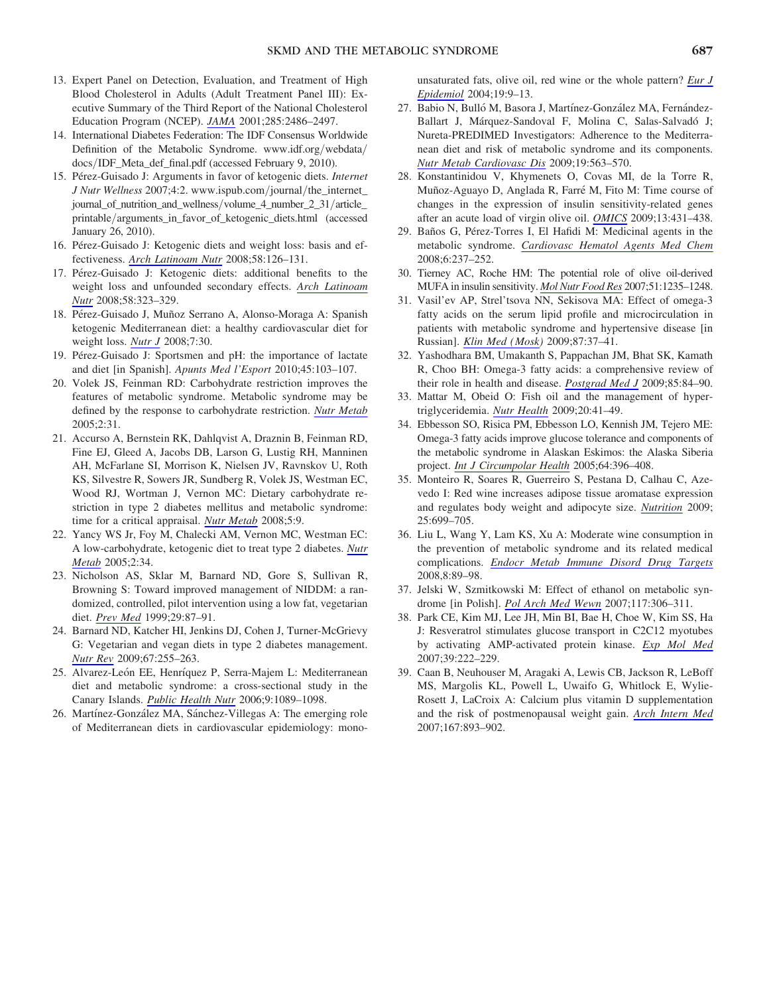- 13. Expert Panel on Detection, Evaluation, and Treatment of High Blood Cholesterol in Adults (Adult Treatment Panel III): Executive Summary of the Third Report of the National Cholesterol Education Program (NCEP). JAMA 2001;285:2486–2497.
- 14. International Diabetes Federation: The IDF Consensus Worldwide Definition of the Metabolic Syndrome. www.idf.org/webdata/ docs/IDF\_Meta\_def\_final.pdf (accessed February 9, 2010).
- 15. Pérez-Guisado J: Arguments in favor of ketogenic diets. Internet J Nutr Wellness 2007;4:2. www.ispub.com/journal/the\_internet\_ journal\_of\_nutrition\_and\_wellness/volume\_4\_number\_2\_31/article\_ printable/arguments\_in\_favor\_of\_ketogenic\_diets.html (accessed January 26, 2010).
- 16. Pérez-Guisado J: Ketogenic diets and weight loss: basis and effectiveness. Arch Latinoam Nutr 2008;58:126–131.
- 17. Pérez-Guisado J: Ketogenic diets: additional benefits to the weight loss and unfounded secondary effects. Arch Latinoam Nutr 2008;58:323–329.
- 18. Pérez-Guisado J, Muñoz Serrano A, Alonso-Moraga A: Spanish ketogenic Mediterranean diet: a healthy cardiovascular diet for weight loss. Nutr J 2008;7:30.
- 19. Pérez-Guisado J: Sportsmen and pH: the importance of lactate and diet [in Spanish]. Apunts Med l'Esport 2010;45:103–107.
- 20. Volek JS, Feinman RD: Carbohydrate restriction improves the features of metabolic syndrome. Metabolic syndrome may be defined by the response to carbohydrate restriction. Nutr Metab 2005;2:31.
- 21. Accurso A, Bernstein RK, Dahlqvist A, Draznin B, Feinman RD, Fine EJ, Gleed A, Jacobs DB, Larson G, Lustig RH, Manninen AH, McFarlane SI, Morrison K, Nielsen JV, Ravnskov U, Roth KS, Silvestre R, Sowers JR, Sundberg R, Volek JS, Westman EC, Wood RJ, Wortman J, Vernon MC: Dietary carbohydrate restriction in type 2 diabetes mellitus and metabolic syndrome: time for a critical appraisal. Nutr Metab 2008;5:9.
- 22. Yancy WS Jr, Foy M, Chalecki AM, Vernon MC, Westman EC: A low-carbohydrate, ketogenic diet to treat type 2 diabetes. Nutr Metab 2005;2:34.
- 23. Nicholson AS, Sklar M, Barnard ND, Gore S, Sullivan R, Browning S: Toward improved management of NIDDM: a randomized, controlled, pilot intervention using a low fat, vegetarian diet. Prev Med 1999;29:87–91.
- 24. Barnard ND, Katcher HI, Jenkins DJ, Cohen J, Turner-McGrievy G: Vegetarian and vegan diets in type 2 diabetes management. Nutr Rev 2009;67:255–263.
- 25. Alvarez-León EE, Henríquez P, Serra-Majem L: Mediterranean diet and metabolic syndrome: a cross-sectional study in the Canary Islands. Public Health Nutr 2006;9:1089–1098.
- 26. Martínez-González MA, Sánchez-Villegas A: The emerging role of Mediterranean diets in cardiovascular epidemiology: mono-

unsaturated fats, olive oil, red wine or the whole pattern? Eur J Epidemiol 2004;19:9–13.

- 27. Babio N, Bulló M, Basora J, Martínez-González MA, Fernández-Ballart J, Márquez-Sandoval F, Molina C, Salas-Salvadó J; Nureta-PREDIMED Investigators: Adherence to the Mediterranean diet and risk of metabolic syndrome and its components. Nutr Metab Cardiovasc Dis 2009;19:563–570.
- 28. Konstantinidou V, Khymenets O, Covas MI, de la Torre R, Muñoz-Aguayo D, Anglada R, Farré M, Fito M: Time course of changes in the expression of insulin sensitivity-related genes after an acute load of virgin olive oil. OMICS 2009;13:431–438.
- 29. Baños G, Pérez-Torres I, El Hafidi M: Medicinal agents in the metabolic syndrome. Cardiovasc Hematol Agents Med Chem 2008;6:237–252.
- 30. Tierney AC, Roche HM: The potential role of olive oil-derived MUFA in insulin sensitivity. Mol Nutr Food Res 2007;51:1235–1248.
- 31. Vasil'ev AP, Strel'tsova NN, Sekisova MA: Effect of omega-3 fatty acids on the serum lipid profile and microcirculation in patients with metabolic syndrome and hypertensive disease [in Russian]. Klin Med (Mosk) 2009;87:37–41.
- 32. Yashodhara BM, Umakanth S, Pappachan JM, Bhat SK, Kamath R, Choo BH: Omega-3 fatty acids: a comprehensive review of their role in health and disease. Postgrad Med J 2009;85:84–90.
- 33. Mattar M, Obeid O: Fish oil and the management of hypertriglyceridemia. Nutr Health 2009;20:41–49.
- 34. Ebbesson SO, Risica PM, Ebbesson LO, Kennish JM, Tejero ME: Omega-3 fatty acids improve glucose tolerance and components of the metabolic syndrome in Alaskan Eskimos: the Alaska Siberia project. Int J Circumpolar Health 2005;64:396–408.
- 35. Monteiro R, Soares R, Guerreiro S, Pestana D, Calhau C, Azevedo I: Red wine increases adipose tissue aromatase expression and regulates body weight and adipocyte size. Nutrition 2009; 25:699–705.
- 36. Liu L, Wang Y, Lam KS, Xu A: Moderate wine consumption in the prevention of metabolic syndrome and its related medical complications. Endocr Metab Immune Disord Drug Targets 2008,8:89–98.
- 37. Jelski W, Szmitkowski M: Effect of ethanol on metabolic syndrome [in Polish]. Pol Arch Med Wewn 2007;117:306–311.
- 38. Park CE, Kim MJ, Lee JH, Min BI, Bae H, Choe W, Kim SS, Ha J: Resveratrol stimulates glucose transport in C2C12 myotubes by activating AMP-activated protein kinase. Exp Mol Med 2007;39:222–229.
- 39. Caan B, Neuhouser M, Aragaki A, Lewis CB, Jackson R, LeBoff MS, Margolis KL, Powell L, Uwaifo G, Whitlock E, Wylie-Rosett J, LaCroix A: Calcium plus vitamin D supplementation and the risk of postmenopausal weight gain. Arch Intern Med 2007;167:893–902.